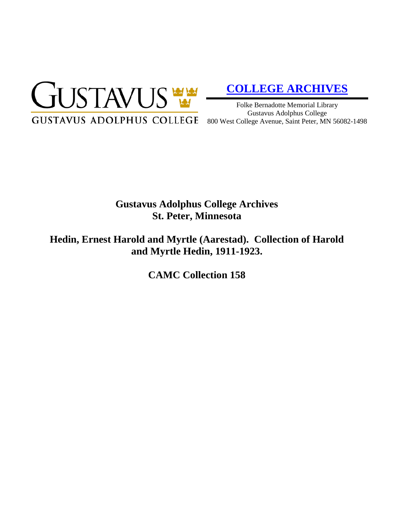

# **[COLLEGE ARCHIVES](http://gustavus.edu/academics/library/archives/)**

Folke Bernadotte Memorial Library Gustavus Adolphus College 800 West College Avenue, Saint Peter, MN 56082-1498

# **Gustavus Adolphus College Archives St. Peter, Minnesota**

**Hedin, Ernest Harold and Myrtle (Aarestad). Collection of Harold and Myrtle Hedin, 1911-1923.**

**CAMC Collection 158**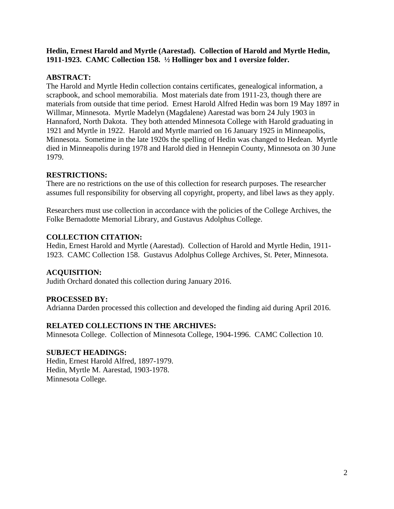**Hedin, Ernest Harold and Myrtle (Aarestad). Collection of Harold and Myrtle Hedin, 1911-1923. CAMC Collection 158. ½ Hollinger box and 1 oversize folder.**

### **ABSTRACT:**

The Harold and Myrtle Hedin collection contains certificates, genealogical information, a scrapbook, and school memorabilia. Most materials date from 1911-23, though there are materials from outside that time period. Ernest Harold Alfred Hedin was born 19 May 1897 in Willmar, Minnesota. Myrtle Madelyn (Magdalene) Aarestad was born 24 July 1903 in Hannaford, North Dakota. They both attended Minnesota College with Harold graduating in 1921 and Myrtle in 1922. Harold and Myrtle married on 16 January 1925 in Minneapolis, Minnesota. Sometime in the late 1920s the spelling of Hedin was changed to Hedean. Myrtle died in Minneapolis during 1978 and Harold died in Hennepin County, Minnesota on 30 June 1979.

#### **RESTRICTIONS:**

There are no restrictions on the use of this collection for research purposes. The researcher assumes full responsibility for observing all copyright, property, and libel laws as they apply.

Researchers must use collection in accordance with the policies of the College Archives, the Folke Bernadotte Memorial Library, and Gustavus Adolphus College.

#### **COLLECTION CITATION:**

Hedin, Ernest Harold and Myrtle (Aarestad). Collection of Harold and Myrtle Hedin, 1911- 1923. CAMC Collection 158. Gustavus Adolphus College Archives, St. Peter, Minnesota.

# **ACQUISITION:**

Judith Orchard donated this collection during January 2016.

# **PROCESSED BY:**

Adrianna Darden processed this collection and developed the finding aid during April 2016.

# **RELATED COLLECTIONS IN THE ARCHIVES:**

Minnesota College. Collection of Minnesota College, 1904-1996. CAMC Collection 10.

#### **SUBJECT HEADINGS:**

Hedin, Ernest Harold Alfred, 1897-1979. Hedin, Myrtle M. Aarestad, 1903-1978. Minnesota College.